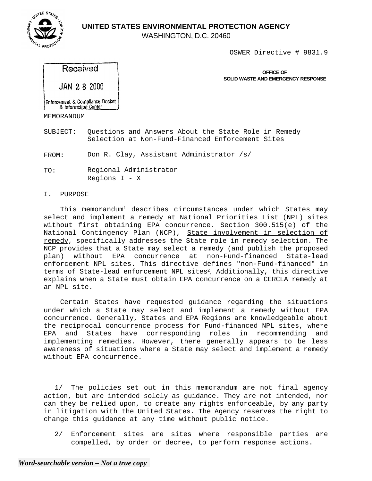

WASHINGTON, D.C. 20460

OSWER Directive # 9831.9

## Received

JAN 28 2000

**OFFICE OF SOLID WASTE AND EMERGENCY RESPONSE** 

Enforcement & Compliance Docket & Information Center

MEMORANDUM

SUBJECT: Questions and Answers About the State Role in Remedy Selection at Non-Fund-Financed Enforcement Sites

FROM: Don R. Clay, Assistant Administrator /s/

TO: Regional Administrator Regions I - X

### I. PURPOSE

This memorandum<sup>1</sup> describes circumstances under which States may select and implement a remedy at National Priorities List (NPL) sites without first obtaining EPA concurrence. Section 300.515(e) of the National Contingency Plan (NCP), State involvement in selection of remedy, specifically addresses the State role in remedy selection. The NCP provides that a State may select a remedy (and publish the proposed plan) without EPA concurrence at non-Fund-financed State-lead enforcement NPL sites. This directive defines "non-Fund-financed" in terms of State-lead enforcement NPL sites<sup>2</sup>, Additionally, this directive explains when a State must obtain EPA concurrence on a CERCLA remedy at an NPL site.

Certain States have requested guidance regarding the situations under which a State may select and implement a remedy without EPA concurrence. Generally, States and EPA Regions are knowledgeable about the reciprocal concurrence process for Fund-financed NPL sites, where EPA and States have corresponding roles in recommending and implementing remedies. However, there generally appears to be less awareness of situations where a State may select and implement a remedy without EPA concurrence.

2/ Enforcement sites are sites where responsible parties are compelled, by order or decree, to perform response actions.



<sup>1/</sup> The policies set out in this memorandum are not final agency action, but are intended solely as guidance. They are not intended, nor can they be relied upon, to create any rights enforceable, by any party in litigation with the United States. The Agency reserves the right to change this guidance at any time without public notice.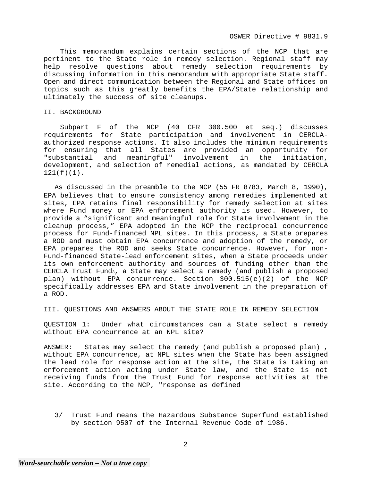This memorandum explains certain sections of the NCP that are pertinent to the State role in remedy selection. Regional staff may help resolve questions about remedy selection requirements by discussing information in this memorandum with appropriate State staff. Open and direct communication between the Regional and State offices on topics such as this greatly benefits the EPA/State relationship and ultimately the success of site cleanups.

#### II. BACKGROUND

Subpart F of the NCP (40 CFR 300.500 et seq.) discusses requirements for State participation and involvement in CERCLAauthorized response actions. It also includes the minimum requirements for ensuring that all States are provided an opportunity for "substantial and meaningful" involvement in the initiation, development, and selection of remedial actions, as mandated by CERCLA 121(f)(1).

As discussed in the preamble to the NCP (55 FR 8783, March 8, 1990), EPA believes that to ensure consistency among remedies implemented at sites, EPA retains final responsibility for remedy selection at sites where Fund money or EPA enforcement authority is used. However, to provide a "significant and meaningful role for State involvement in the cleanup process," EPA adopted in the NCP the reciprocal concurrence process for Fund-financed NPL sites. In this process, a State prepares a ROD and must obtain EPA concurrence and adoption of the remedy, or EPA prepares the ROD and seeks State concurrence. However, for non-Fund-financed State-lead enforcement sites, when a State proceeds under its own enforcement authority and sources of funding other than the CERCLA Trust Fund3, a State may select a remedy (and publish a proposed plan) without EPA concurrence. Section 300.515(e)(2) of the NCP specifically addresses EPA and State involvement in the preparation of a ROD.

III. QUESTIONS AND ANSWERS ABOUT THE STATE ROLE IN REMEDY SELECTION

QUESTION 1: Under what circumstances can a State select a remedy without EPA concurrence at an NPL site?

ANSWER: States may select the remedy (and publish a proposed plan) , without EPA concurrence, at NPL sites when the State has been assigned the lead role for response action at the site, the State is taking an enforcement action acting under State law, and the State is not receiving funds from the Trust Fund for response activities at the site. According to the NCP, "response as defined

<sup>3/</sup> Trust Fund means the Hazardous Substance Superfund established by section 9507 of the Internal Revenue Code of 1986.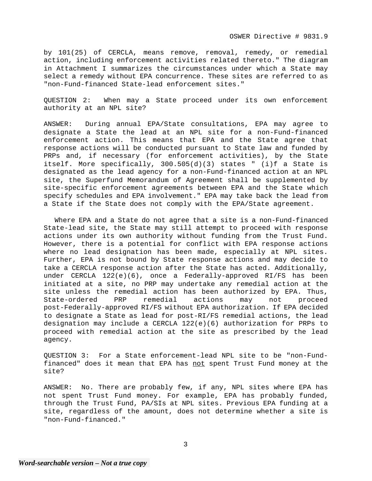OSWER Directive # 9831.9

by 101(25) of CERCLA, means remove, removal, remedy, or remedial action, including enforcement activities related thereto." The diagram in Attachment I summarizes the circumstances under which a State may select a remedy without EPA concurrence. These sites are referred to as "non-Fund-financed State-lead enforcement sites."

QUESTION 2: When may a State proceed under its own enforcement authority at an NPL site?

ANSWER: During annual EPA/State consultations, EPA may agree to designate a State the lead at an NPL site for a non-Fund-financed enforcement action. This means that EPA and the State agree that response actions will be conducted pursuant to State law and funded by PRPs and, if necessary (for enforcement activities), by the State itself. More specifically, 300.505(d)(3) states " (i)f a State is designated as the lead agency for a non-Fund-financed action at an NPL site, the Superfund Memorandum of Agreement shall be supplemented by site-specific enforcement agreements between EPA and the State which specify schedules and EPA involvement." EPA may take back the lead from a State if the State does not comply with the EPA/State agreement.

Where EPA and a State do not agree that a site is a non-Fund-financed State-lead site, the State may still attempt to proceed with response actions under its own authority without funding from the Trust Fund. However, there is a potential for conflict with EPA response actions where no lead designation has been made, especially at NPL sites. Further, EPA is not bound by State response actions and may decide to take a CERCLA response action after the State has acted. Additionally, under CERCLA 122(e)(6), once a Federally-approved RI/FS has been initiated at a site, no PRP may undertake any remedial action at the site unless the remedial action has been authorized by EPA. Thus, State-ordered PRP remedial actions may not proceed post-Federally-approved RI/FS without EPA authorization. If EPA decided to designate a State as lead for post-RI/FS remedial actions, the lead designation may include a CERCLA 122(e)(6) authorization for PRPs to proceed with remedial action at the site as prescribed by the lead agency.

QUESTION 3: For a State enforcement-lead NPL site to be "non-Fundfinanced" does it mean that EPA has not spent Trust Fund money at the site?

ANSWER: No. There are probably few, if any, NPL sites where EPA has not spent Trust Fund money. For example, EPA has probably funded, through the Trust Fund, PA/SIs at NPL sites. Previous EPA funding at a site, regardless of the amount, does not determine whether a site is "non-Fund-financed."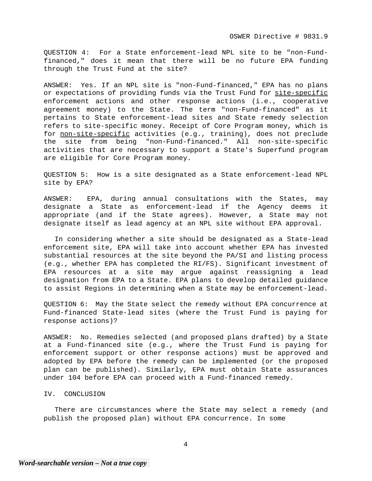QUESTION 4: For a State enforcement-lead NPL site to be "non-Fundfinanced," does it mean that there will be no future EPA funding through the Trust Fund at the site?

ANSWER: Yes. If an NPL site is "non-Fund-financed," EPA has no plans or expectations of providing funds via the Trust Fund for site-specific enforcement actions and other response actions (i.e., cooperative agreement money) to the State. The term "non-Fund-financed" as it pertains to State enforcement-lead sites and State remedy selection refers to site-specific money. Receipt of Core Program money, which is for non-site-specific activities (e.g., training), does not preclude the site from being "non-Fund-financed." All non-site-specific activities that are necessary to support a State's Superfund program are eligible for Core Program money.

QUESTION 5: How is a site designated as a State enforcement-lead NPL site by EPA?

ANSWER: EPA, during annual consultations with the States, may designate a State as enforcement-lead if the Agency deems it appropriate (and if the State agrees). However, a State may not designate itself as lead agency at an NPL site without EPA approval.

In considering whether a site should be designated as a State-lead enforcement site, EPA will take into account whether EPA has invested substantial resources at the site beyond the PA/SI and listing process (e.g., whether EPA has completed the RI/FS). Significant investment of EPA resources at a site may argue against reassigning a lead designation from EPA to a State. EPA plans to develop detailed guidance to assist Regions in determining when a State may be enforcement-lead.

QUESTION 6: May the State select the remedy without EPA concurrence at Fund-financed State-lead sites (where the Trust Fund is paying for response actions)?

ANSWER: No. Remedies selected (and proposed plans drafted) by a State at a Fund-financed site (e.g., where the Trust Fund is paying for enforcement support or other response actions) must be approved and adopted by EPA before the remedy can be implemented (or the proposed plan can be published). Similarly, EPA must obtain State assurances under 104 before EPA can proceed with a Fund-financed remedy.

#### IV. CONCLUSION

There are circumstances where the State may select a remedy (and publish the proposed plan) without EPA concurrence. In some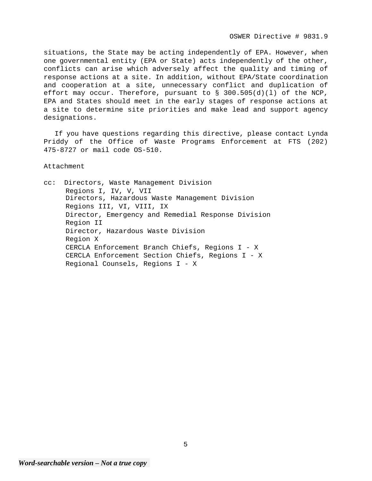situations, the State may be acting independently of EPA. However, when one governmental entity (EPA or State) acts independently of the other, conflicts can arise which adversely affect the quality and timing of response actions at a site. In addition, without EPA/State coordination and cooperation at a site, unnecessary conflict and duplication of effort may occur. Therefore, pursuant to § 300.505(d)(l) of the NCP, EPA and States should meet in the early stages of response actions at a site to determine site priorities and make lead and support agency designations.

If you have questions regarding this directive, please contact Lynda Priddy of the Office of Waste Programs Enforcement at FTS (202) 475-8727 or mail code OS-510.

Attachment

cc: Directors, Waste Management Division Regions I, IV, V, VII Directors, Hazardous Waste Management Division Regions III, VI, VIII, IX Director, Emergency and Remedial Response Division Region II Director, Hazardous Waste Division Region X CERCLA Enforcement Branch Chiefs, Regions I - X CERCLA Enforcement Section Chiefs, Regions I - X Regional Counsels, Regions I - X